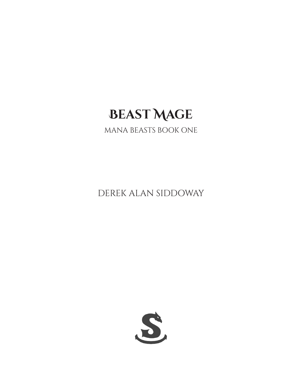# **Beast Mage**

### MANA BEASTS BOOK ONE

DEREK ALAN SIDDOWAY

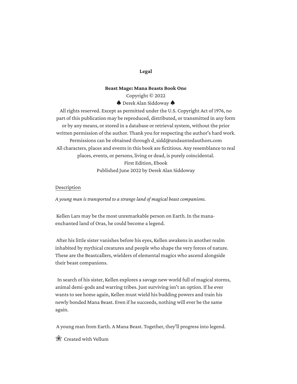#### **Legal**

#### **Beast Mage: Mana Beasts Book One**

Copyright © 2022

 $\spadesuit$  Derek Alan Siddoway

All rights reserved. Except as permitted under the U.S. Copyright Act of 1976, no part of this publication may be reproduced, distributed, or transmitted in any form or by any means, or stored in a database or retrieval system, without the prior written permission of the author. Thank you for respecting the author's hard work. Permissions can be obtained through d\_sidd@undauntedauthors.com All characters, places and events in this book are fictitious. Any resemblance to real places, events, or persons, living or dead, is purely coincidental. First Edition, Ebook Published June 2022 by Derek Alan Siddoway

#### Description

*A young man is transported to a strange land of magical beast companions.*

 Kellen Lars may be the most unremarkable person on Earth. In the manaenchanted land of Oras, he could become a legend.

 After his little sister vanishes before his eyes, Kellen awakens in another realm inhabited by mythical creatures and people who shape the very forces of nature. These are the Beastcallers, wielders of elemental magics who ascend alongside their beast companions.

 In search of his sister, Kellen explores a savage new world full of magical storms, animal demi-gods and warring tribes. Just surviving isn't an option. If he ever wants to see home again, Kellen must wield his budding powers and train his newly bonded Mana Beast. Even if he succeeds, nothing will ever be the same again.

A young man from Earth. A Mana Beast. Together, they'll progress into legend.

Created with Vellum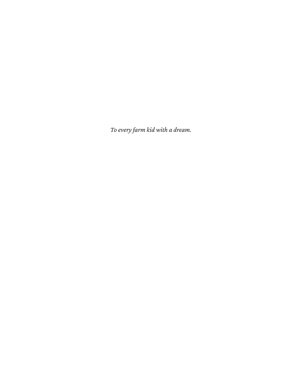*To every farm kid with a dream.*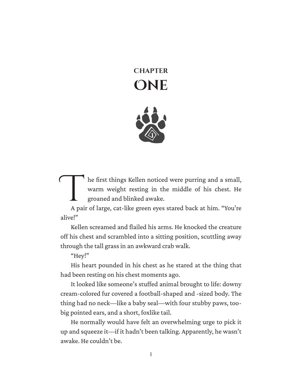## **Chapter One**



The first things Kellen noticed were purring and a small,<br>warm weight resting in the middle of his chest. He<br>groaned and blinked awake.<br>A pair of large, cat-like green eyes stared back at him. "You're he first things Kellen noticed were purring and a small, warm weight resting in the middle of his chest. He groaned and blinked awake.

alive!"

Kellen screamed and flailed his arms. He knocked the creature off his chest and scrambled into a sitting position, scuttling away through the tall grass in an awkward crab walk.

"Hey!"

His heart pounded in his chest as he stared at the thing that had been resting on his chest moments ago.

It looked like someone's stuffed animal brought to life: downy cream-colored fur covered a football-shaped and -sized body. The thing had no neck—like a baby seal—with four stubby paws, toobig pointed ears, and a short, foxlike tail.

He normally would have felt an overwhelming urge to pick it up and squeeze it—if it hadn't been talking. Apparently, he wasn't awake. He couldn't be.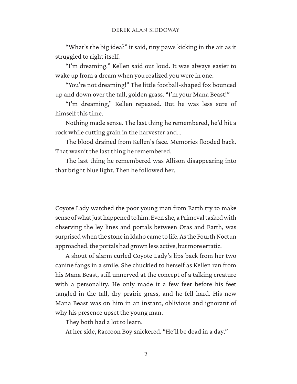"What's the big idea?" it said, tiny paws kicking in the air as it struggled to right itself.

"I'm dreaming," Kellen said out loud. It was always easier to wake up from a dream when you realized you were in one.

"You're not dreaming!" The little football-shaped fox bounced up and down over the tall, golden grass. "I'm your Mana Beast!"

"I'm dreaming," Kellen repeated. But he was less sure of himself this time.

Nothing made sense. The last thing he remembered, he'd hit a rock while cutting grain in the harvester and…

The blood drained from Kellen's face. Memories flooded back. That wasn't the last thing he remembered.

The last thing he remembered was Allison disappearing into that bright blue light. Then he followed her.

Coyote Lady watched the poor young man from Earth try to make sense of what just happened to him. Even she, a Primeval tasked with observing the ley lines and portals between Oras and Earth, was surprised when the stone in Idaho came to life. As the Fourth Noctun approached, the portals had grown less active, but more erratic.

A shout of alarm curled Coyote Lady's lips back from her two canine fangs in a smile. She chuckled to herself as Kellen ran from his Mana Beast, still unnerved at the concept of a talking creature with a personality. He only made it a few feet before his feet tangled in the tall, dry prairie grass, and he fell hard. His new Mana Beast was on him in an instant, oblivious and ignorant of why his presence upset the young man.

They both had a lot to learn.

At her side, Raccoon Boy snickered. "He'll be dead in a day."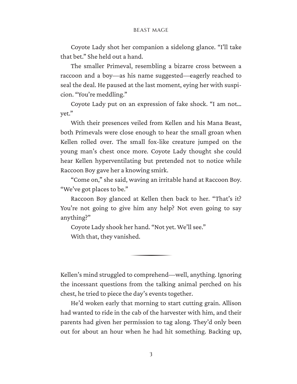#### BEAST MAGE

Coyote Lady shot her companion a sidelong glance. "I'll take that bet." She held out a hand.

The smaller Primeval, resembling a bizarre cross between a raccoon and a boy—as his name suggested—eagerly reached to seal the deal. He paused at the last moment, eying her with suspi‐ cion. "You're meddling."

Coyote Lady put on an expression of fake shock. "I am not… yet."

With their presences veiled from Kellen and his Mana Beast, both Primevals were close enough to hear the small groan when Kellen rolled over. The small fox-like creature jumped on the young man's chest once more. Coyote Lady thought she could hear Kellen hyperventilating but pretended not to notice while Raccoon Boy gave her a knowing smirk.

"Come on," she said, waving an irritable hand at Raccoon Boy. "We've got places to be."

Raccoon Boy glanced at Kellen then back to her. "That's it? You're not going to give him any help? Not even going to say anything?"

Coyote Lady shook her hand. "Not yet. We'll see." With that, they vanished.

Kellen's mind struggled to comprehend—well, anything. Ignoring the incessant questions from the talking animal perched on his chest, he tried to piece the day's events together.

He'd woken early that morning to start cutting grain. Allison had wanted to ride in the cab of the harvester with him, and their parents had given her permission to tag along. They'd only been out for about an hour when he had hit something. Backing up,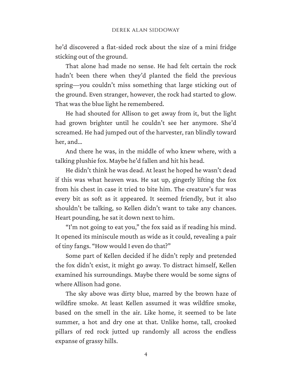he'd discovered a flat-sided rock about the size of a mini fridge sticking out of the ground.

That alone had made no sense. He had felt certain the rock hadn't been there when they'd planted the field the previous spring—you couldn't miss something that large sticking out of the ground. Even stranger, however, the rock had started to glow. That was the blue light he remembered.

He had shouted for Allison to get away from it, but the light had grown brighter until he couldn't see her anymore. She'd screamed. He had jumped out of the harvester, ran blindly toward her, and…

And there he was, in the middle of who knew where, with a talking plushie fox. Maybe he'd fallen and hit his head.

He didn't think he was dead. At least he hoped he wasn't dead if this was what heaven was. He sat up, gingerly lifting the fox from his chest in case it tried to bite him. The creature's fur was every bit as soft as it appeared. It seemed friendly, but it also shouldn't be talking, so Kellen didn't want to take any chances. Heart pounding, he sat it down next to him.

"I'm not going to eat you," the fox said as if reading his mind. It opened its miniscule mouth as wide as it could, revealing a pair of tiny fangs. "How would I even do that?"

Some part of Kellen decided if he didn't reply and pretended the fox didn't exist, it might go away. To distract himself, Kellen examined his surroundings. Maybe there would be some signs of where Allison had gone.

The sky above was dirty blue, marred by the brown haze of wildfire smoke. At least Kellen assumed it was wildfire smoke, based on the smell in the air. Like home, it seemed to be late summer, a hot and dry one at that. Unlike home, tall, crooked pillars of red rock jutted up randomly all across the endless expanse of grassy hills.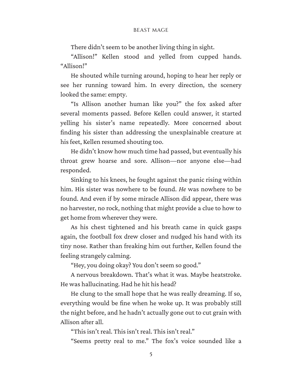#### BEAST MAGE

There didn't seem to be another living thing in sight.

"Allison!" Kellen stood and yelled from cupped hands. "Allison!"

He shouted while turning around, hoping to hear her reply or see her running toward him. In every direction, the scenery looked the same: empty.

"Is Allison another human like you?" the fox asked after several moments passed. Before Kellen could answer, it started yelling his sister's name repeatedly. More concerned about finding his sister than addressing the unexplainable creature at his feet, Kellen resumed shouting too.

He didn't know how much time had passed, but eventually his throat grew hoarse and sore. Allison—nor anyone else—had responded.

Sinking to his knees, he fought against the panic rising within him. His sister was nowhere to be found. *He* was nowhere to be found. And even if by some miracle Allison did appear, there was no harvester, no rock, nothing that might provide a clue to how to get home from wherever they were.

As his chest tightened and his breath came in quick gasps again, the football fox drew closer and nudged his hand with its tiny nose. Rather than freaking him out further, Kellen found the feeling strangely calming.

"Hey, you doing okay? You don't seem so good."

A nervous breakdown. That's what it was. Maybe heatstroke. He was hallucinating. Had he hit his head?

He clung to the small hope that he was really dreaming. If so, everything would be fine when he woke up. It was probably still the night before, and he hadn't actually gone out to cut grain with Allison after all.

"This isn't real. This isn't real. This isn't real."

"Seems pretty real to me." The fox's voice sounded like a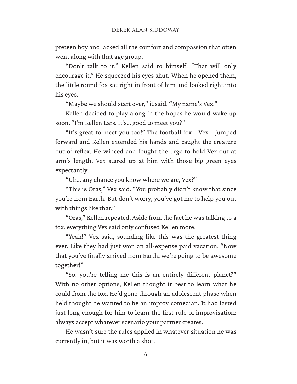preteen boy and lacked all the comfort and compassion that often went along with that age group.

"Don't talk to it," Kellen said to himself. "That will only encourage it." He squeezed his eyes shut. When he opened them, the little round fox sat right in front of him and looked right into his eyes.

"Maybe we should start over," it said. "My name's Vex."

Kellen decided to play along in the hopes he would wake up soon. "I'm Kellen Lars. It's… good to meet you?"

"It's great to meet you too!" The football fox—Vex—jumped forward and Kellen extended his hands and caught the creature out of reflex. He winced and fought the urge to hold Vex out at arm's length. Vex stared up at him with those big green eyes expectantly.

"Uh… any chance you know where we are, Vex?"

"This is Oras," Vex said. "You probably didn't know that since you're from Earth. But don't worry, you've got me to help you out with things like that."

"Oras," Kellen repeated. Aside from the fact he was talking to a fox, everything Vex said only confused Kellen more.

"Yeah!" Vex said, sounding like this was the greatest thing ever. Like they had just won an all-expense paid vacation. "Now that you've finally arrived from Earth, we're going to be awesome together!"

"So, you're telling me this is an entirely different planet?" With no other options, Kellen thought it best to learn what he could from the fox. He'd gone through an adolescent phase when he'd thought he wanted to be an improv comedian. It had lasted just long enough for him to learn the first rule of improvisation: always accept whatever scenario your partner creates.

He wasn't sure the rules applied in whatever situation he was currently in, but it was worth a shot.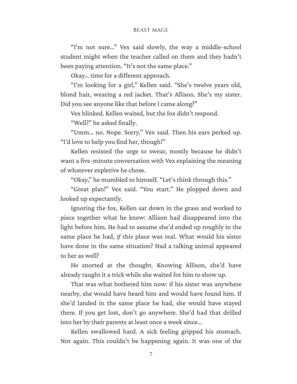#### BEAST MAGE

"I'm not sure…" Vex said slowly, the way a middle-school student might when the teacher called on them and they hadn't been paying attention. "It's not the same place."

Okay… time for a different approach.

"I'm looking for a girl," Kellen said. "She's twelve years old, blond hair, wearing a red jacket. That's Allison. She's my sister. Did you see anyone like that before I came along?"

Vex blinked. Kellen waited, but the fox didn't respond.

"Well?" he asked finally.

"Umm… no. Nope. Sorry," Vex said. Then his ears perked up. "I'd love to help you find her, though!"

Kellen resisted the urge to swear, mostly because he didn't want a five-minute conversation with Vex explaining the meaning of whatever expletive he chose.

"Okay," he mumbled to himself. "Let's think through this."

"Great plan!" Vex said. "You start." He plopped down and looked up expectantly.

Ignoring the fox, Kellen sat down in the grass and worked to piece together what he knew: Allison had disappeared into the light before him. He had to assume she'd ended up roughly in the same place he had, *if* this place was real. What would his sister have done in the same situation? Had a talking animal appeared to her as well?

He snorted at the thought. Knowing Allison, she'd have already taught it a trick while she waited for him to show up.

That was what bothered him now: if his sister was anywhere nearby, she would have heard him and would have found him. If she'd landed in the same place he had, she would have stayed there. If you get lost, don't go anywhere. She'd had that drilled into her by their parents at least once a week since…

Kellen swallowed hard. A sick feeling gripped his stomach. Not again. This couldn't be happening again. It was one of the